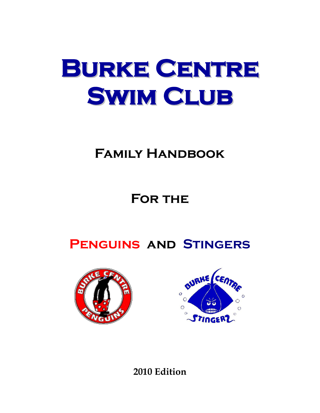# **Burke Centre Swim Club**

## **Family Handbook**

# **For the**

**Penguins and Stingers**





**2010 Edition**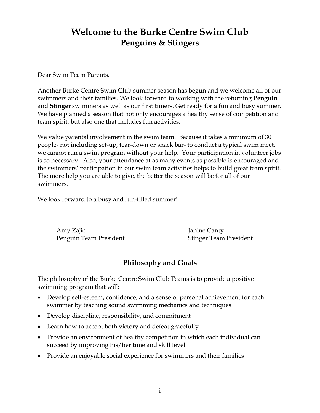### **Welcome to the Burke Centre Swim Club Penguins & Stingers**

Dear Swim Team Parents,

Another Burke Centre Swim Club summer season has begun and we welcome all of our swimmers and their families. We look forward to working with the returning **Penguin** and **Stinger** swimmers as well as our first timers. Get ready for a fun and busy summer. We have planned a season that not only encourages a healthy sense of competition and team spirit, but also one that includes fun activities.

We value parental involvement in the swim team. Because it takes a minimum of 30 people- not including set-up, tear-down or snack bar- to conduct a typical swim meet, we cannot run a swim program without your help. Your participation in volunteer jobs is so necessary! Also, your attendance at as many events as possible is encouraged and the swimmers' participation in our swim team activities helps to build great team spirit. The more help you are able to give, the better the season will be for all of our swimmers.

We look forward to a busy and fun-filled summer!

Amy Zajic Janine Canty Penguin Team President Stinger Team President

### **Philosophy and Goals**

The philosophy of the Burke Centre Swim Club Teams is to provide a positive swimming program that will:

- Develop self-esteem, confidence, and a sense of personal achievement for each swimmer by teaching sound swimming mechanics and techniques
- Develop discipline, responsibility, and commitment
- Learn how to accept both victory and defeat gracefully
- Provide an environment of healthy competition in which each individual can succeed by improving his/her time and skill level
- Provide an enjoyable social experience for swimmers and their families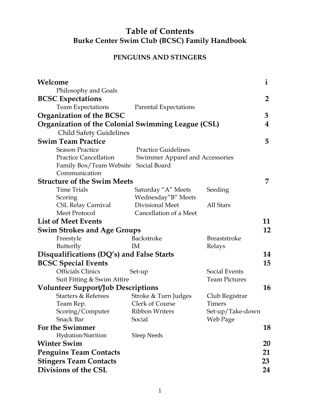### **Table of Contents Burke Center Swim Club (BCSC) Family Handbook**

### **PENGUINS AND STINGERS**

| Welcome                                                   |                                 |                      | $\mathbf{i}$   |
|-----------------------------------------------------------|---------------------------------|----------------------|----------------|
| Philosophy and Goals                                      |                                 |                      |                |
| <b>BCSC Expectations</b>                                  |                                 |                      | $\overline{2}$ |
| <b>Team Expectations</b>                                  | <b>Parental Expectations</b>    |                      |                |
| <b>Organization of the BCSC</b>                           |                                 |                      | 3              |
| <b>Organization of the Colonial Swimming League (CSL)</b> |                                 |                      | 4              |
| <b>Child Safety Guidelines</b>                            |                                 |                      |                |
| <b>Swim Team Practice</b>                                 |                                 |                      | 5              |
| <b>Season Practice</b>                                    | <b>Practice Guidelines</b>      |                      |                |
| <b>Practice Cancellation</b>                              | Swimmer Apparel and Accessories |                      |                |
| Family Box/Team Website                                   | Social Board                    |                      |                |
| Communication                                             |                                 |                      |                |
| <b>Structure of the Swim Meets</b>                        |                                 |                      | 7              |
| <b>Time Trials</b>                                        | Saturday "A" Meets              | Seeding              |                |
| Scoring                                                   | Wednesday"B" Meets              |                      |                |
| <b>CSL Relay Carnival</b>                                 | Divisional Meet                 | All Stars            |                |
| Meet Protocol                                             | Cancellation of a Meet          |                      |                |
| <b>List of Meet Events</b>                                |                                 |                      | 11             |
| <b>Swim Strokes and Age Groups</b>                        |                                 |                      | 12             |
| Freestyle                                                 | Backstroke                      | <b>Breaststroke</b>  |                |
| Butterfly                                                 | IM                              | Relays               |                |
| Disqualifications (DQ's) and False Starts                 |                                 |                      | 14             |
| <b>BCSC Special Events</b>                                |                                 |                      | 15             |
| <b>Officials Clinics</b>                                  | Set-up                          | Social Events        |                |
| Suit Fitting & Swim Attire                                |                                 | <b>Team Pictures</b> |                |
| <b>Volunteer Support/Job Descriptions</b>                 |                                 |                      | 16             |
| <b>Starters &amp; Referees</b>                            | Stroke & Turn Judges            | Club Registrar       |                |
| Team Rep.                                                 | Clerk of Course                 | Timers               |                |
| Scoring/Computer                                          | Ribbon Writers                  | Set-up/Take-down     |                |
| <b>Snack Bar</b>                                          | Social                          | Web Page             |                |
| <b>For the Swimmer</b>                                    |                                 |                      | 18             |
| Hydration/Nutrition                                       | Sleep Needs                     |                      |                |
| <b>Winter Swim</b>                                        |                                 |                      | 20             |
| <b>Penguins Team Contacts</b>                             |                                 |                      | 21             |
| <b>Stingers Team Contacts</b>                             |                                 |                      | 23             |
| Divisions of the CSL                                      |                                 |                      | 24             |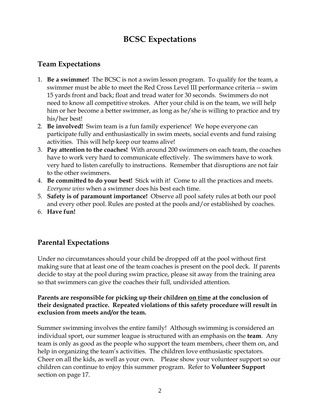### **BCSC Expectations**

### **Team Expectations**

- 1. **Be a swimmer!** The BCSC is not a swim lesson program. To qualify for the team, a swimmer must be able to meet the Red Cross Level III performance criteria -- swim 15 yards front and back; float and tread water for 30 seconds. Swimmers do not need to know all competitive strokes. After your child is on the team, we will help him or her become a better swimmer, as long as he/she is willing to practice and try his/her best!
- 2. **Be involved!** Swim team is a fun family experience! We hope everyone can participate fully and enthusiastically in swim meets, social events and fund raising activities. This will help keep our teams alive!
- 3. **Pay attention to the coaches!** With around 200 swimmers on each team, the coaches have to work very hard to communicate effectively. The swimmers have to work very hard to listen carefully to instructions. Remember that disruptions are not fair to the other swimmers.
- 4. **Be committed to do your best!** Stick with it! Come to all the practices and meets. *Everyone wins* when a swimmer does his best each time.
- 5. **Safety is of paramount importance!** Observe all pool safety rules at both our pool and every other pool. Rules are posted at the pools and/or established by coaches.
- 6. **Have fun!**

### **Parental Expectations**

Under no circumstances should your child be dropped off at the pool without first making sure that at least one of the team coaches is present on the pool deck. If parents decide to stay at the pool during swim practice, please sit away from the training area so that swimmers can give the coaches their full, undivided attention.

#### **Parents are responsible for picking up their children on time at the conclusion of their designated practice. Repeated violations of this safety procedure will result in exclusion from meets and/or the team.**

Summer swimming involves the entire family! Although swimming is considered an individual sport, our summer league is structured with an emphasis on the **team**. Any team is only as good as the people who support the team members, cheer them on, and help in organizing the team's activities. The children love enthusiastic spectators. Cheer on all the kids, as well as your own. Please show your volunteer support so our children can continue to enjoy this summer program. Refer to **Volunteer Support** section on page 17.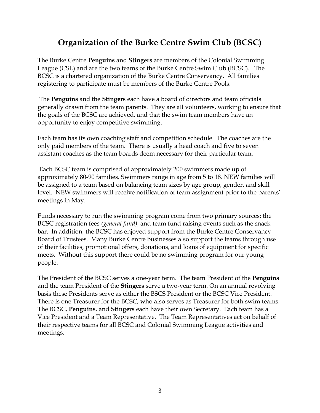### **Organization of the Burke Centre Swim Club (BCSC)**

The Burke Centre **Penguins** and **Stingers** are members of the Colonial Swimming League (CSL) and are the two teams of the Burke Centre Swim Club (BCSC). The BCSC is a chartered organization of the Burke Centre Conservancy. All families registering to participate must be members of the Burke Centre Pools.

The **Penguins** and the **Stingers** each have a board of directors and team officials generally drawn from the team parents. They are all volunteers, working to ensure that the goals of the BCSC are achieved, and that the swim team members have an opportunity to enjoy competitive swimming.

Each team has its own coaching staff and competition schedule. The coaches are the only paid members of the team. There is usually a head coach and five to seven assistant coaches as the team boards deem necessary for their particular team.

Each BCSC team is comprised of approximately 200 swimmers made up of approximately 80-90 families. Swimmers range in age from 5 to 18. NEW families will be assigned to a team based on balancing team sizes by age group, gender, and skill level. NEW swimmers will receive notification of team assignment prior to the parents' meetings in May.

Funds necessary to run the swimming program come from two primary sources: the BCSC registration fees *(general fund)*, and team fund raising events such as the snack bar. In addition, the BCSC has enjoyed support from the Burke Centre Conservancy Board of Trustees. Many Burke Centre businesses also support the teams through use of their facilities, promotional offers, donations, and loans of equipment for specific meets. Without this support there could be no swimming program for our young people.

The President of the BCSC serves a one-year term. The team President of the **Penguins**  and the team President of the **Stingers** serve a two-year term. On an annual revolving basis these Presidents serve as either the BSCS President or the BCSC Vice President. There is one Treasurer for the BCSC, who also serves as Treasurer for both swim teams. The BCSC, **Penguins**, and **Stingers** each have their own Secretary. Each team has a Vice President and a Team Representative. The Team Representatives act on behalf of their respective teams for all BCSC and Colonial Swimming League activities and meetings.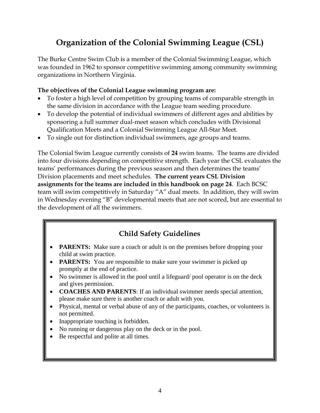### **Organization of the Colonial Swimming League (CSL)**

The Burke Centre Swim Club is a member of the Colonial Swimming League, which was founded in 1962 to sponsor competitive swimming among community swimming organizations in Northern Virginia.

#### **The objectives of the Colonial League swimming program are:**

- To foster a high level of competition by grouping teams of comparable strength in the same division in accordance with the League team seeding procedure.
- To develop the potential of individual swimmers of different ages and abilities by sponsoring a full summer dual-meet season which concludes with Divisional Qualification Meets and a Colonial Swimming League All-Star Meet.
- To single out for distinction individual swimmers, age groups and teams.

The Colonial Swim League currently consists of **24** swim teams. The teams are divided into four divisions depending on competitive strength. Each year the CSL evaluates the teams' performances during the previous season and then determines the teams' Division placements and meet schedules. **The current years CSL Division assignments for the teams are included in this handbook on page 24**. Each BCSC team will swim competitively in Saturday "A" dual meets. In addition, they will swim in Wednesday evening "B" developmental meets that are not scored, but are essential to the development of all the swimmers.

### **Child Safety Guidelines**

- **PARENTS:** Make sure a coach or adult is on the premises before dropping your child at swim practice.
- **PARENTS:** You are responsible to make sure your swimmer is picked up promptly at the end of practice.
- No swimmer is allowed in the pool until a lifeguard/ pool operator is on the deck and gives permission.
- **COACHES AND PARENTS**: If an individual swimmer needs special attention, please make sure there is another coach or adult with you.
- Physical, mental or verbal abuse of any of the participants, coaches, or volunteers is not permitted.
- Inappropriate touching is forbidden.
- No running or dangerous play on the deck or in the pool.
- Be respectful and polite at all times.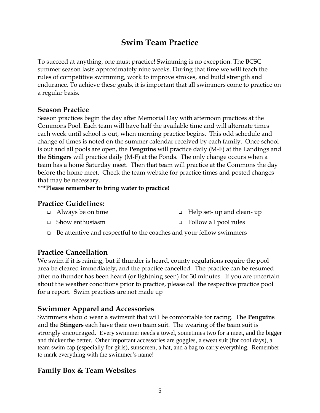### **Swim Team Practice**

To succeed at anything, one must practice! Swimming is no exception. The BCSC summer season lasts approximately nine weeks. During that time we will teach the rules of competitive swimming, work to improve strokes, and build strength and endurance. To achieve these goals, it is important that all swimmers come to practice on a regular basis.

### **Season Practice**

Season practices begin the day after Memorial Day with afternoon practices at the Commons Pool. Each team will have half the available time and will alternate times each week until school is out, when morning practice begins. This odd schedule and change of times is noted on the summer calendar received by each family. Once school is out and all pools are open, the **Penguins** will practice daily (M-F) at the Landings and the **Stingers** will practice daily (M-F) at the Ponds. The only change occurs when a team has a home Saturday meet. Then that team will practice at the Commons the day before the home meet. Check the team website for practice times and posted changes that may be necessary.

**\*\*\*Please remember to bring water to practice!**

### **Practice Guidelines:**

- Always be on time Help set- up and clean- up
- Show enthusiasm Follow all pool rules
- $\Box$  Be attentive and respectful to the coaches and your fellow swimmers

### **Practice Cancellation**

We swim if it is raining, but if thunder is heard, county regulations require the pool area be cleared immediately, and the practice cancelled. The practice can be resumed after no thunder has been heard (or lightning seen) for 30 minutes. If you are uncertain about the weather conditions prior to practice, please call the respective practice pool for a report. Swim practices are not made up

### **Swimmer Apparel and Accessories**

Swimmers should wear a swimsuit that will be comfortable for racing. The **Penguins** and the **Stingers** each have their own team suit. The wearing of the team suit is strongly encouraged. Every swimmer needs a towel, sometimes two for a meet, and the bigger and thicker the better. Other important accessories are goggles, a sweat suit (for cool days), a team swim cap (especially for girls), sunscreen, a hat, and a bag to carry everything. Remember to mark everything with the swimmer's name!

### **Family Box & Team Websites**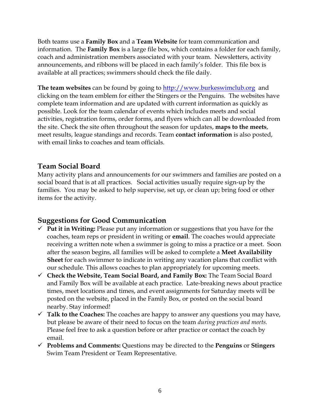Both teams use a **Family Box** and a **Team Website** for team communication and information. The **Family Box** is a large file box, which contains a folder for each family, coach and administration members associated with your team. Newsletters, activity announcements, and ribbons will be placed in each family's folder. This file box is available at all practices; swimmers should check the file daily.

**The team websites** can be found by going to **http://www.burkeswimclub.org** and clicking on the team emblem for either the Stingers or the Penguins. The websites have complete team information and are updated with current information as quickly as possible. Look for the team calendar of events which includes meets and social activities, registration forms, order forms, and flyers which can all be downloaded from the site. Check the site often throughout the season for updates, **maps to the meets**, meet results, league standings and records. Team **contact information** is also posted, with email links to coaches and team officials.

### **Team Social Board**

Many activity plans and announcements for our swimmers and families are posted on a social board that is at all practices. Social activities usually require sign-up by the families. You may be asked to help supervise, set up, or clean up; bring food or other items for the activity.

### **Suggestions for Good Communication**

- **Put it in Writing:** Please put any information or suggestions that you have for the coaches, team reps or president in writing or **email**. The coaches would appreciate receiving a written note when a swimmer is going to miss a practice or a meet. Soon after the season begins, all families will be asked to complete a **Meet Availability Sheet** for each swimmer to indicate in writing any vacation plans that conflict with our schedule. This allows coaches to plan appropriately for upcoming meets.
- **Check the Website, Team Social Board, and Family Box:** The Team Social Board and Family Box will be available at each practice. Late-breaking news about practice times, meet locations and times, and event assignments for Saturday meets will be posted on the website, placed in the Family Box, or posted on the social board nearby. Stay informed!
- $\checkmark$  Talk to the Coaches: The coaches are happy to answer any questions you may have, but please be aware of their need to focus on the team *during practices and meets.*  Please feel free to ask a question before or after practice or contact the coach by email.
- **Problems and Comments:** Questions may be directed to the **Penguins** or **Stingers** Swim Team President or Team Representative.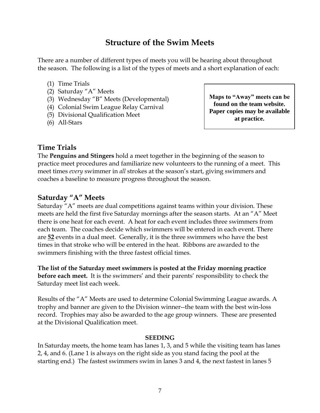### **Structure of the Swim Meets**

There are a number of different types of meets you will be hearing about throughout the season. The following is a list of the types of meets and a short explanation of each:

- (1) Time Trials
- (2) Saturday "A" Meets
- (3) Wednesday "B" Meets (Developmental)
- (4) Colonial Swim League Relay Carnival
- (5) Divisional Qualification Meet
- (6) All-Stars

**Maps to "Away" meets can be found on the team website. Paper copies may be available at practice.**

### **Time Trials**

The **Penguins and Stingers** hold a meet together in the beginning of the season to practice meet procedures and familiarize new volunteers to the running of a meet. This meet times *every* swimmer in *all* strokes at the season's start, giving swimmers and coaches a baseline to measure progress throughout the season.

#### **Saturday "A" Meets**

Saturday "A" meets are dual competitions against teams within your division. These meets are held the first five Saturday mornings after the season starts. At an "A" Meet there is one heat for each event. A heat for each event includes three swimmers from each team. The coaches decide which swimmers will be entered in each event. There are **52** events in a dual meet. Generally, it is the three swimmers who have the best times in that stroke who will be entered in the heat. Ribbons are awarded to the swimmers finishing with the three fastest official times.

**The list of the Saturday meet swimmers is posted at the Friday morning practice before each meet.** It is the swimmers' and their parents' responsibility to check the Saturday meet list each week.

Results of the "A" Meets are used to determine Colonial Swimming League awards. A trophy and banner are given to the Division winner--the team with the best win-loss record. Trophies may also be awarded to the age group winners. These are presented at the Divisional Qualification meet.

#### **SEEDING**

In Saturday meets, the home team has lanes 1, 3, and 5 while the visiting team has lanes 2, 4, and 6. (Lane 1 is always on the right side as you stand facing the pool at the starting end.) The fastest swimmers swim in lanes 3 and 4, the next fastest in lanes 5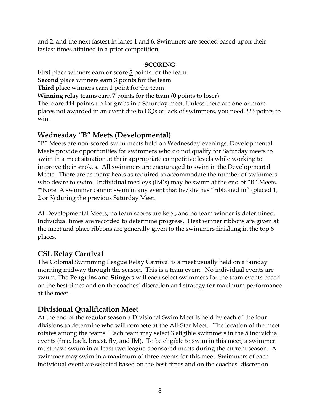and 2, and the next fastest in lanes 1 and 6. Swimmers are seeded based upon their fastest times attained in a prior competition.

#### **SCORING**

**First** place winners earn or score **5** points for the team **Second** place winners earn **3** points for the team

**Third** place winners earn **1** point for the team

**Winning relay** teams earn **7** points for the team (**0** points to loser)

There are 444 points up for grabs in a Saturday meet. Unless there are one or more places not awarded in an event due to DQs or lack of swimmers, you need 223 points to win.

### Wednesday "B" Meets (Developmental)

"B" Meets are non-scored swim meets held on Wednesday evenings. Developmental Meets provide opportunities for swimmers who do not qualify for Saturday meets to swim in a meet situation at their appropriate competitive levels while working to improve their strokes. All swimmers are encouraged to swim in the Developmental Meets. There are as many heats as required to accommodate the number of swimmers who desire to swim. Individual medleys (IM's) may be swum at the end of "B" Meets. \*Note: A swimmer cannot swim in any event that he/she has "ribboned in" (placed  $1<sub>L</sub>$ 2 or 3) during the previous Saturday Meet.

At Developmental Meets, no team scores are kept, and no team winner is determined. Individual times are recorded to determine progress. Heat winner ribbons are given at the meet and place ribbons are generally given to the swimmers finishing in the top 6 places.

### **CSL Relay Carnival**

The Colonial Swimming League Relay Carnival is a meet usually held on a Sunday morning midway through the season. This is a team event. No individual events are swum. The **Penguins** and **Stingers** will each select swimmers for the team events based on the best times and on the coaches' discretion and strategy for maximum performance at the meet.

### **Divisional Qualification Meet**

At the end of the regular season a Divisional Swim Meet is held by each of the four divisions to determine who will compete at the All-Star Meet. The location of the meet rotates among the teams. Each team may select 3 eligible swimmers in the 5 individual events (free, back, breast, fly, and IM). To be eligible to swim in this meet, a swimmer must have swum in at least two league-sponsored meets during the current season. A swimmer may swim in a maximum of three events for this meet. Swimmers of each individual event are selected based on the best times and on the coaches' discretion.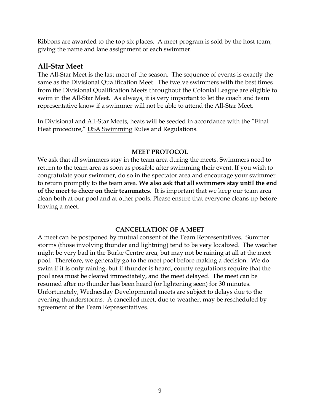Ribbons are awarded to the top six places. A meet program is sold by the host team, giving the name and lane assignment of each swimmer.

### **All-Star Meet**

The All-Star Meet is the last meet of the season. The sequence of events is exactly the same as the Divisional Qualification Meet. The twelve swimmers with the best times from the Divisional Qualification Meets throughout the Colonial League are eligible to swim in the All-Star Meet. As always, it is very important to let the coach and team representative know if a swimmer will not be able to attend the All-Star Meet.

In Divisional and All-Star Meets, heats will be seeded in accordance with the "Final Heat procedure," USA Swimming Rules and Regulations.

#### **MEET PROTOCOL**

We ask that all swimmers stay in the team area during the meets. Swimmers need to return to the team area as soon as possible after swimming their event. If you wish to congratulate your swimmer, do so in the spectator area and encourage your swimmer to return promptly to the team area. **We also ask that all swimmers stay until the end of the meet to cheer on their teammates**. It is important that we keep our team area clean both at our pool and at other pools. Please ensure that everyone cleans up before leaving a meet.

#### **CANCELLATION OF A MEET**

A meet can be postponed by mutual consent of the Team Representatives. Summer storms (those involving thunder and lightning) tend to be very localized. The weather might be very bad in the Burke Centre area, but may not be raining at all at the meet pool. Therefore, we generally go to the meet pool before making a decision. We do swim if it is only raining, but if thunder is heard, county regulations require that the pool area must be cleared immediately, and the meet delayed. The meet can be resumed after no thunder has been heard (or lightening seen) for 30 minutes. Unfortunately, Wednesday Developmental meets are subject to delays due to the evening thunderstorms. A cancelled meet, due to weather, may be rescheduled by agreement of the Team Representatives.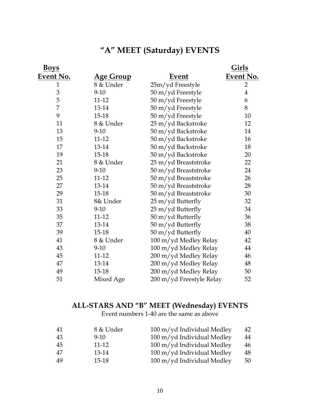### **―A‖ MEET (Saturday) EVENTS**

| <b>Boys</b>  |                   |                          | <u>Girls</u>   |
|--------------|-------------------|--------------------------|----------------|
| Event No.    | <u> Age Group</u> | <u>Event</u>             | Event No.      |
| $\mathbf{1}$ | 8 & Under         | 25m/yd Freestyle         | $\overline{2}$ |
| 3            | $9 - 10$          | 50 m/yd Freestyle        | $\overline{4}$ |
| 5            | 11-12             | 50 m/yd Freestyle        | 6              |
| 7            | 13-14             | 50 m/yd Freestyle        | $8\,$          |
| 9            | $15 - 18$         | 50 m/yd Freestyle        | 10             |
| 11           | 8 & Under         | 25 m/yd Backstroke       | 12             |
| 13           | $9-10$            | 50 m/yd Backstroke       | 14             |
| 15           | 11-12             | 50 m/yd Backstroke       | 16             |
| 17           | 13-14             | 50 m/yd Backstroke       | 18             |
| 19           | $15 - 18$         | 50 m/yd Backstroke       | 20             |
| 21           | 8 & Under         | 25 m/yd Breaststroke     | 22             |
| 23           | $9-10$            | 50 m/yd Breaststroke     | 24             |
| 25           | $11 - 12$         | 50 m/yd Breaststroke     | 26             |
| 27           | 13-14             | 50 m/yd Breaststroke     | 28             |
| 29           | 15-18             | 50 m/yd Breaststroke     | 30             |
| 31           | 8& Under          | 25 m/yd Butterfly        | 32             |
| 33           | $9-10$            | 25 m/yd Butterfly        | 34             |
| 35           | $11 - 12$         | 50 m/yd Butterfly        | 36             |
| 37           | $13 - 14$         | 50 m/yd Butterfly        | 38             |
| 39           | $15-18$           | 50 m/yd Butterfly        | 40             |
| 41           | 8 & Under         | 100 m/yd Medley Relay    | 42             |
| 43           | $9-10$            | 100 m/yd Medley Relay    | 44             |
| 45           | 11-12             | 200 m/yd Medley Relay    | 46             |
| 47           | 13-14             | 200 m/yd Medley Relay    | 48             |
| 49           | 15-18             | 200 m/yd Medley Relay    | 50             |
| 51           | Mixed Age         | 200 m/yd Freestyle Relay | 52             |
|              |                   |                          |                |

#### **ALL-STARS AND ―B‖ MEET (Wednesday) EVENTS**

Event numbers 1-40 are the same as above

| -41 | 8 & Under | 100 m/yd Individual Medley | 42 |
|-----|-----------|----------------------------|----|
| 43  | $9 - 10$  | 100 m/yd Individual Medley | 44 |
| 45  | $11 - 12$ | 100 m/yd Individual Medley | 46 |
| 47  | 13-14     | 100 m/yd Individual Medley | 48 |
| 49  | $15-18$   | 100 m/yd Individual Medley | 50 |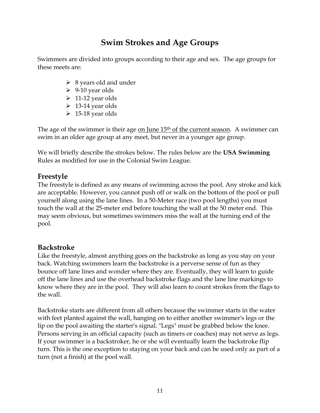### **Swim Strokes and Age Groups**

Swimmers are divided into groups according to their age and sex. The age groups for these meets are:

- $\geq 8$  years old and under
- $\geq 9-10$  year olds
- $\geq 11$ -12 year olds
- $\geq 13-14$  year olds
- $\geq 15-18$  year olds

The age of the swimmer is their age on June  $15<sup>th</sup>$  of the current season. A swimmer can swim in an older age group at any meet, but never in a younger age group.

We will briefly describe the strokes below. The rules below are the **USA Swimming** Rules as modified for use in the Colonial Swim League.

### **Freestyle**

The freestyle is defined as any means of swimming across the pool. Any stroke and kick are acceptable. However, you cannot push off or walk on the bottom of the pool or pull yourself along using the lane lines. In a 50-Meter race (two pool lengths) you must touch the wall at the 25-meter end before touching the wall at the 50 meter end. This may seem obvious, but sometimes swimmers miss the wall at the turning end of the pool.

### **Backstroke**

Like the freestyle, almost anything goes on the backstroke as long as you stay on your back. Watching swimmers learn the backstroke is a perverse sense of fun as they bounce off lane lines and wonder where they are. Eventually, they will learn to guide off the lane lines and use the overhead backstroke flags and the lane line markings to know where they are in the pool. They will also learn to count strokes from the flags to the wall.

Backstroke starts are different from all others because the swimmer starts in the water with feet planted against the wall, hanging on to either another swimmer's legs or the lip on the pool awaiting the starter's signal. "Legs" must be grabbed below the knee. Persons serving in an official capacity (such as timers or coaches) may not serve as legs. If your swimmer is a backstroker, he or she will eventually learn the backstroke flip turn. This is the one exception to staying on your back and can be used only as part of a turn (not a finish) at the pool wall.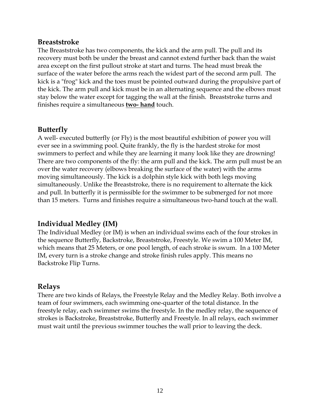#### **Breaststroke**

The Breaststroke has two components, the kick and the arm pull. The pull and its recovery must both be under the breast and cannot extend further back than the waist area except on the first pullout stroke at start and turns. The head must break the surface of the water before the arms reach the widest part of the second arm pull. The kick is a "frog" kick and the toes must be pointed outward during the propulsive part of the kick. The arm pull and kick must be in an alternating sequence and the elbows must stay below the water except for tagging the wall at the finish. Breaststroke turns and finishes require a simultaneous **two- hand** touch.

#### **Butterfly**

A well- executed butterfly (or Fly) is the most beautiful exhibition of power you will ever see in a swimming pool. Quite frankly, the fly is the hardest stroke for most swimmers to perfect and while they are learning it many look like they are drowning! There are two components of the fly: the arm pull and the kick. The arm pull must be an over the water recovery (elbows breaking the surface of the water) with the arms moving simultaneously. The kick is a dolphin style kick with both legs moving simultaneously. Unlike the Breaststroke, there is no requirement to alternate the kick and pull. In butterfly it is permissible for the swimmer to be submerged for not more than 15 meters. Turns and finishes require a simultaneous two-hand touch at the wall.

### **Individual Medley (IM)**

The Individual Medley (or IM) is when an individual swims each of the four strokes in the sequence Butterfly, Backstroke, Breaststroke, Freestyle. We swim a 100 Meter IM, which means that 25 Meters, or one pool length, of each stroke is swum. In a 100 Meter IM, every turn is a stroke change and stroke finish rules apply. This means no Backstroke Flip Turns.

### **Relays**

There are two kinds of Relays, the Freestyle Relay and the Medley Relay. Both involve a team of four swimmers, each swimming one-quarter of the total distance. In the freestyle relay, each swimmer swims the freestyle. In the medley relay, the sequence of strokes is Backstroke, Breaststroke, Butterfly and Freestyle. In all relays, each swimmer must wait until the previous swimmer touches the wall prior to leaving the deck.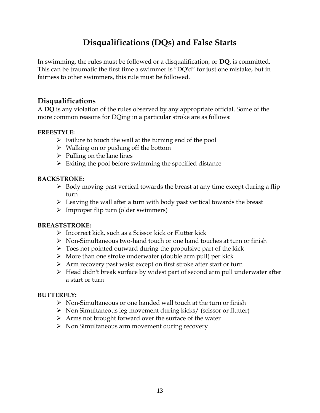### **Disqualifications (DQs) and False Starts**

In swimming, the rules must be followed or a disqualification, or **DQ**, is committed. This can be traumatic the first time a swimmer is "DQ'd" for just one mistake, but in fairness to other swimmers, this rule must be followed.

### **Disqualifications**

A **DQ** is any violation of the rules observed by any appropriate official. Some of the more common reasons for DQing in a particular stroke are as follows:

#### **FREESTYLE:**

- $\triangleright$  Failure to touch the wall at the turning end of the pool
- $\triangleright$  Walking on or pushing off the bottom
- $\triangleright$  Pulling on the lane lines
- $\triangleright$  Exiting the pool before swimming the specified distance

#### **BACKSTROKE:**

- $\triangleright$  Body moving past vertical towards the breast at any time except during a flip turn
- $\triangleright$  Leaving the wall after a turn with body past vertical towards the breast
- $\triangleright$  Improper flip turn (older swimmers)

#### **BREASTSTROKE:**

- $\triangleright$  Incorrect kick, such as a Scissor kick or Flutter kick
- Non-Simultaneous two-hand touch or one hand touches at turn or finish
- $\triangleright$  Toes not pointed outward during the propulsive part of the kick
- $\triangleright$  More than one stroke underwater (double arm pull) per kick
- Arm recovery past waist except on first stroke after start or turn
- Head didn't break surface by widest part of second arm pull underwater after a start or turn

### **BUTTERFLY:**

- $\triangleright$  Non-Simultaneous or one handed wall touch at the turn or finish
- $\triangleright$  Non Simultaneous leg movement during kicks/ (scissor or flutter)
- $\triangleright$  Arms not brought forward over the surface of the water
- $\triangleright$  Non Simultaneous arm movement during recovery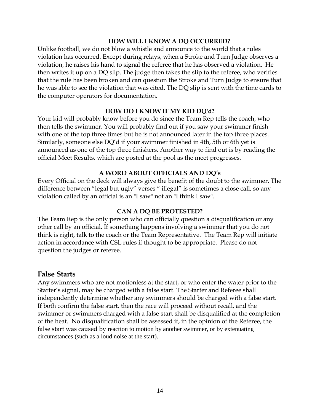#### **HOW WILL I KNOW A DQ OCCURRED?**

Unlike football, we do not blow a whistle and announce to the world that a rules violation has occurred. Except during relays, when a Stroke and Turn Judge observes a violation, he raises his hand to signal the referee that he has observed a violation. He then writes it up on a DQ slip. The judge then takes the slip to the referee, who verifies that the rule has been broken and can question the Stroke and Turn Judge to ensure that he was able to see the violation that was cited. The DQ slip is sent with the time cards to the computer operators for documentation.

#### **HOW DO I KNOW IF MY KID DQ'd?**

Your kid will probably know before you do since the Team Rep tells the coach, who then tells the swimmer. You will probably find out if you saw your swimmer finish with one of the top three times but he is not announced later in the top three places. Similarly, someone else DQ'd if your swimmer finished in 4th, 5th or 6th yet is announced as one of the top three finishers. Another way to find out is by reading the official Meet Results, which are posted at the pool as the meet progresses.

#### **A WORD ABOUT OFFICIALS AND DQ's**

Every Official on the deck will always give the benefit of the doubt to the swimmer. The difference between "legal but ugly" verses " illegal" is sometimes a close call, so any violation called by an official is an "I saw" not an "I think I saw".

#### **CAN A DQ BE PROTESTED?**

The Team Rep is the only person who can officially question a disqualification or any other call by an official. If something happens involving a swimmer that you do not think is right, talk to the coach or the Team Representative. The Team Rep will initiate action in accordance with CSL rules if thought to be appropriate. Please do not question the judges or referee.

#### **False Starts**

Any swimmers who are not motionless at the start, or who enter the water prior to the Starter's signal, may be charged with a false start. The Starter and Referee shall independently determine whether any swimmers should be charged with a false start. If both confirm the false start, then the race will proceed without recall, and the swimmer or swimmers charged with a false start shall be disqualified at the completion of the heat. No disqualification shall be assessed if, in the opinion of the Referee, the false start was caused by reaction to motion by another swimmer, or by extenuating circumstances (such as a loud noise at the start).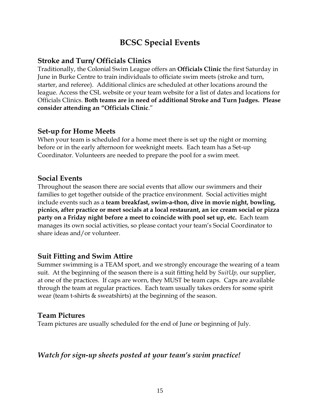### **BCSC Special Events**

### **Stroke and Turn/ Officials Clinics**

Traditionally, the Colonial Swim League offers an **Officials Clinic** the first Saturday in June in Burke Centre to train individuals to officiate swim meets (stroke and turn, starter, and referee). Additional clinics are scheduled at other locations around the league. Access the CSL website or your team website for a list of dates and locations for Officials Clinics. **Both teams are in need of additional Stroke and Turn Judges. Please consider attending an ―Officials Clinic**."

### **Set-up for Home Meets**

When your team is scheduled for a home meet there is set up the night or morning before or in the early afternoon for weeknight meets. Each team has a Set-up Coordinator. Volunteers are needed to prepare the pool for a swim meet.

### **Social Events**

Throughout the season there are social events that allow our swimmers and their families to get together outside of the practice environment. Social activities might include events such as a **team breakfast, swim-a-thon, dive in movie night, bowling, picnics, after practice or meet socials at a local restaurant, an ice cream social or pizza party on a Friday night before a meet to coincide with pool set up, etc.** Each team manages its own social activities, so please contact your team's Social Coordinator to share ideas and/or volunteer.

### **Suit Fitting and Swim Attire**

Summer swimming is a TEAM sport, and we strongly encourage the wearing of a team suit. At the beginning of the season there is a suit fitting held by *SuitUp,* our supplier, at one of the practices. If caps are worn, they MUST be team caps. Caps are available through the team at regular practices. Each team usually takes orders for some spirit wear (team t-shirts & sweatshirts) at the beginning of the season.

### **Team Pictures**

Team pictures are usually scheduled for the end of June or beginning of July.

### *Watch for sign-up sheets posted at your team's swim practice!*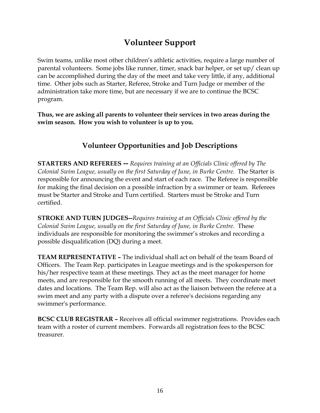### **Volunteer Support**

Swim teams, unlike most other children's athletic activities, require a large number of parental volunteers. Some jobs like runner, timer, snack bar helper, or set up/ clean up can be accomplished during the day of the meet and take very little, if any, additional time. Other jobs such as Starter, Referee, Stroke and Turn Judge or member of the administration take more time, but are necessary if we are to continue the BCSC program.

**Thus, we are asking all parents to volunteer their services in two areas during the swim season. How you wish to volunteer is up to you.**

### **Volunteer Opportunities and Job Descriptions**

**STARTERS AND REFEREES --** *Requires training at an Officials Clinic offered by The Colonial Swim League, usually on the first Saturday of June, in Burke Centre.* The Starter is responsible for announcing the event and start of each race. The Referee is responsible for making the final decision on a possible infraction by a swimmer or team. Referees must be Starter and Stroke and Turn certified. Starters must be Stroke and Turn certified.

**STROKE AND TURN JUDGES--***Requires training at an Officials Clinic offered by the Colonial Swim League, usually on the first Saturday of June, in Burke Centre.* These individuals are responsible for monitoring the swimmer's strokes and recording a possible disqualification (DQ) during a meet.

**TEAM REPRESENTATIVE –** The individual shall act on behalf of the team Board of Officers. The Team Rep. participates in League meetings and is the spokesperson for his/her respective team at these meetings. They act as the meet manager for home meets, and are responsible for the smooth running of all meets. They coordinate meet dates and locations. The Team Rep. will also act as the liaison between the referee at a swim meet and any party with a dispute over a referee's decisions regarding any swimmer's performance.

**BCSC CLUB REGISTRAR –** Receives all official swimmer registrations. Provides each team with a roster of current members. Forwards all registration fees to the BCSC treasurer.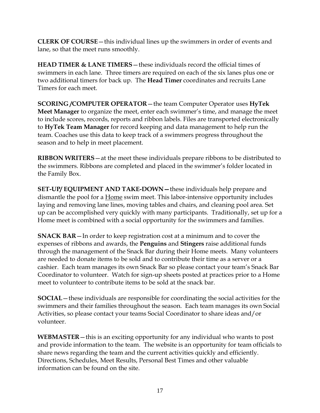**CLERK OF COURSE**—this individual lines up the swimmers in order of events and lane, so that the meet runs smoothly.

**HEAD TIMER & LANE TIMERS**—these individuals record the official times of swimmers in each lane. Three timers are required on each of the six lanes plus one or two additional timers for back up. The **Head Timer** coordinates and recruits Lane Timers for each meet.

**SCORING /COMPUTER OPERATOR**—the team Computer Operator uses **HyTek Meet Manager** to organize the meet, enter each swimmer's time, and manage the meet to include scores, records, reports and ribbon labels. Files are transported electronically to **HyTek Team Manager** for record keeping and data management to help run the team. Coaches use this data to keep track of a swimmers progress throughout the season and to help in meet placement.

**RIBBON WRITERS**—at the meet these individuals prepare ribbons to be distributed to the swimmers. Ribbons are completed and placed in the swimmer's folder located in the Family Box.

**SET-UP/ EQUIPMENT AND TAKE-DOWN—**these individuals help prepare and dismantle the pool for a **Home** swim meet. This labor-intensive opportunity includes laying and removing lane lines, moving tables and chairs, and cleaning pool area. Set up can be accomplished very quickly with many participants. Traditionally, set up for a Home meet is combined with a social opportunity for the swimmers and families.

**SNACK BAR**—In order to keep registration cost at a minimum and to cover the expenses of ribbons and awards, the **Penguins** and **Stingers** raise additional funds through the management of the Snack Bar during their Home meets. Many volunteers are needed to donate items to be sold and to contribute their time as a server or a cashier. Each team manages its own Snack Bar so please contact your team's Snack Bar Coordinator to volunteer. Watch for sign-up sheets posted at practices prior to a Home meet to volunteer to contribute items to be sold at the snack bar.

**SOCIAL**—these individuals are responsible for coordinating the social activities for the swimmers and their families throughout the season. Each team manages its own Social Activities, so please contact your teams Social Coordinator to share ideas and/or volunteer.

**WEBMASTER**—this is an exciting opportunity for any individual who wants to post and provide information to the team. The website is an opportunity for team officials to share news regarding the team and the current activities quickly and efficiently. Directions, Schedules, Meet Results, Personal Best Times and other valuable information can be found on the site.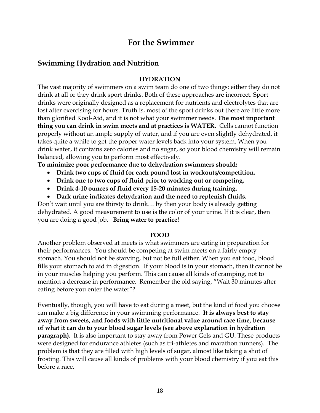### **For the Swimmer**

### **Swimming Hydration and Nutrition**

#### **HYDRATION**

The vast majority of swimmers on a swim team do one of two things: either they do not drink at all or they drink sport drinks. Both of these approaches are incorrect. Sport drinks were originally designed as a replacement for nutrients and electrolytes that are lost after exercising for hours. Truth is, most of the sport drinks out there are little more than glorified Kool-Aid, and it is not what your swimmer needs. **The most important thing you can drink in swim meets and at practices is WATER.** Cells cannot function properly without an ample supply of water, and if you are even slightly dehydrated, it takes quite a while to get the proper water levels back into your system. When you drink water, it contains zero calories and no sugar, so your blood chemistry will remain balanced, allowing you to perform most effectively.

**To minimize poor performance due to dehydration swimmers should:** 

- **Drink two cups of fluid for each pound lost in workouts/competition.**
- **Drink one to two cups of fluid prior to working out or competing.**
- **Drink 4-10 ounces of fluid every 15-20 minutes during training.**
- **Dark urine indicates dehydration and the need to replenish fluids.**

Don't wait until you are thirsty to drink… by then your body is already getting dehydrated. A good measurement to use is the color of your urine. If it is clear, then you are doing a good job. **Bring water to practice!**

#### **FOOD**

Another problem observed at meets is what swimmers are eating in preparation for their performances. You should be competing at swim meets on a fairly empty stomach. You should not be starving, but not be full either. When you eat food, blood fills your stomach to aid in digestion. If your blood is in your stomach, then it cannot be in your muscles helping you perform. This can cause all kinds of cramping, not to mention a decrease in performance. Remember the old saying, "Wait 30 minutes after eating before you enter the water"?

Eventually, though, you will have to eat during a meet, but the kind of food you choose can make a big difference in your swimming performance. **It is always best to stay away from sweets, and foods with little nutritional value around race time, because of what it can do to your blood sugar levels (see above explanation in hydration paragraph).** It is also important to stay away from Power Gels and GU. These products were designed for endurance athletes (such as tri-athletes and marathon runners). The problem is that they are filled with high levels of sugar, almost like taking a shot of frosting. This will cause all kinds of problems with your blood chemistry if you eat this before a race.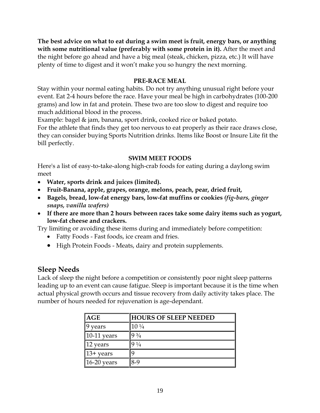**The best advice on what to eat during a swim meet is fruit, energy bars, or anything with some nutritional value (preferably with some protein in it).** After the meet and the night before go ahead and have a big meal (steak, chicken, pizza, etc.) It will have plenty of time to digest and it won't make you so hungry the next morning.

#### **PRE-RACE MEAL**

Stay within your normal eating habits. Do not try anything unusual right before your event. Eat 2-4 hours before the race. Have your meal be high in carbohydrates (100-200 grams) and low in fat and protein. These two are too slow to digest and require too much additional blood in the process.

Example: bagel & jam, banana, sport drink, cooked rice or baked potato.

For the athlete that finds they get too nervous to eat properly as their race draws close, they can consider buying Sports Nutrition drinks. Items like Boost or Insure Lite fit the bill perfectly.

#### **SWIM MEET FOODS**

Here's a list of easy-to-take-along high-crab foods for eating during a daylong swim meet

- **Water, sports drink and juices (limited).**
- **Fruit-Banana, apple, grapes, orange, melons, peach, pear, dried fruit,**
- **Bagels, bread, low-fat energy bars, low-fat muffins or cookies** *(fig-bars, ginger snaps, vanilla wafers)*
- **If there are more than 2 hours between races take some dairy items such as yogurt, low-fat cheese and crackers.**

Try limiting or avoiding these items during and immediately before competition:

- Fatty Foods Fast foods, ice cream and fries.
- High Protein Foods Meats, dairy and protein supplements.

### **Sleep Needs**

Lack of sleep the night before a competition or consistently poor night sleep patterns leading up to an event can cause fatigue. Sleep is important because it is the time when actual physical growth occurs and tissue recovery from daily activity takes place. The number of hours needed for rejuvenation is age-dependant.

| AGE                    | <b>HOURS OF SLEEP NEEDED</b> |
|------------------------|------------------------------|
| years                  | $10\frac{1}{4}$              |
| $ 10-11$ years         | $9\frac{3}{4}$               |
| $ 12 \rangle$ years    | $9\frac{1}{4}$               |
| $ 13 + \text{years} $  | 9                            |
| $ 16-20 \rangle$ years | $8-9$                        |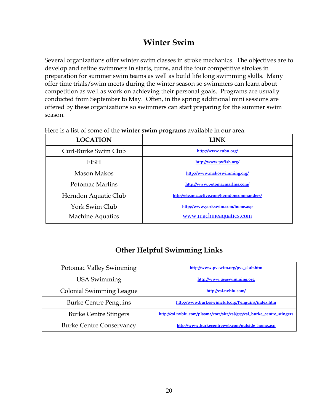### **Winter Swim**

Several organizations offer winter swim classes in stroke mechanics. The objectives are to develop and refine swimmers in starts, turns, and the four competitive strokes in preparation for summer swim teams as well as build life long swimming skills. Many offer time trials/swim meets during the winter season so swimmers can learn about competition as well as work on achieving their personal goals. Programs are usually conducted from September to May. Often, in the spring additional mini sessions are offered by these organizations so swimmers can start preparing for the summer swim season.

| <b>LOCATION</b>         | <b>LINK</b>                                 |
|-------------------------|---------------------------------------------|
| Curl-Burke Swim Club    | http://www.cubu.org/                        |
| FISH                    | http://www.pvfish.org/                      |
| Mason Makos             | http://www.makoswimming.org/                |
| Potomac Marlins         | http://www.potomacmarlins.com/              |
| Herndon Aquatic Club    | http://eteamz.active.com/herndoncommanders/ |
| York Swim Club          | http://www.yorkswim.com/home.asp            |
| <b>Machine Aquatics</b> | www.machineaquatics.com                     |

Here is a list of some of the **winter swim programs** available in our area:

### **Other Helpful Swimming Links**

| <b>Potomac Valley Swimming</b>  | http://www.pvswim.org/pvs_club.htm                                      |
|---------------------------------|-------------------------------------------------------------------------|
| USA Swimming                    | http://www.usaswimming.org                                              |
| <b>Colonial Swimming League</b> | http://csl.nvblu.com/                                                   |
| <b>Burke Centre Penguins</b>    | http://www.burkeswimclub.org/Penguins/index.htm                         |
| <b>Burke Centre Stingers</b>    | http://csl.nvblu.com/plasma/core/site/csl/grp/csl_burke_centre_stingers |
| <b>Burke Centre Conservancy</b> | http://www.burkecentreweb.com/outside_home.asp                          |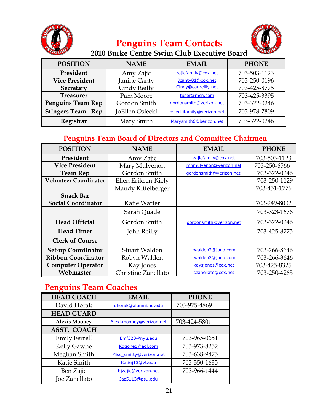

### **Penguins Team Contacts**



### **2010 Burke Centre Swim Club Executive Board**

| <b>POSITION</b>          | <b>NAME</b>     | <b>EMAIL</b>              | <b>PHONE</b> |
|--------------------------|-----------------|---------------------------|--------------|
| President                | Amy Zajic       | zajicfamily@cox.net       | 703-503-1123 |
| <b>Vice President</b>    | Janine Canty    | Jcanty01@cox.net          | 703-250-0196 |
| <b>Secretary</b>         | Cindy Reilly    | Cindy@canreilly.net       | 703-425-8775 |
| <b>Treasurer</b>         | Pam Moore       | tpser@msn.com             | 703-425-3395 |
| <b>Penguins Team Rep</b> | Gordon Smith    | gordonsmith@verizon.net   | 703-322-0246 |
| <b>Stingers Team Rep</b> | JoEllen Osiecki | osieckifamily@verizon.net | 703-978-7809 |
| Registrar                | Mary Smith      | Marysmith6@berizon.net    | 703-322-0246 |

### **Penguins Team Board of Directors and Committee Chairmen**

| <b>POSITION</b>              | <b>NAME</b>         | <b>EMAIL</b>             | <b>PHONE</b> |
|------------------------------|---------------------|--------------------------|--------------|
| President                    | Amy Zajic           | zajicfamily@cox.net      | 703-503-1123 |
| <b>Vice President</b>        | Mary Mulvenon       | mhmulvenon@verizon.net   | 703-250-6566 |
| <b>Team Rep</b>              | Gordon Smith        | gordonsmith@verizon.netl | 703-322-0246 |
| <b>Volunteer Coordinator</b> | Ellen Eriksen-Kiely |                          | 703-250-1129 |
|                              | Mandy Kittelberger  |                          | 703-451-1776 |
| <b>Snack Bar</b>             |                     |                          |              |
| <b>Social Coordinator</b>    | Katie Warter        |                          | 703-249-8002 |
|                              | Sarah Quade         |                          | 703-323-1676 |
| <b>Head Official</b>         | Gordon Smith        | gordonsmith@verizon.net  | 703-322-0246 |
| <b>Head Timer</b>            | John Reilly         |                          | 703-425-8775 |
| <b>Clerk of Course</b>       |                     |                          |              |
| <b>Set-up Coordinator</b>    | Stuart Walden       | rwalden2@juno.com        | 703-266-8646 |
| <b>Ribbon Coordinator</b>    | Robyn Walden        | rwalden2@juno.com        | 703-266-8646 |
| <b>Computer Operator</b>     | Kay Jones           | kaysjones@cox.net        | 703-425-8325 |
| Webmaster                    | Christine Zanellato | czanellato@cox.net       | 703-250-4265 |

### **Penguins Team Coaches**

| <b>HEAD COACH</b>    | <b>EMAIL</b>             | <b>PHONE</b> |
|----------------------|--------------------------|--------------|
| David Horak          | dhorak@alumni.nd.edu     | 703-975-4869 |
| <b>HEAD GUARD</b>    |                          |              |
| <b>Alexis Mooney</b> | Alexi.mooney@verizon.net | 703-424-5801 |
| <b>ASST. COACH</b>   |                          |              |
| Emily Ferrell        | Emf320@nyu.edu           | 703-965-0651 |
| <b>Kelly Gawne</b>   | Kdgone1@aol.com          | 703-973-8252 |
| Meghan Smith         | Miss smitty@verizon.net  | 703-638-9475 |
| Katie Smith          | Katiej13@vt.edu          | 703-350-1635 |
| Ben Zajic            | bizajic@verizon.net      | 703-966-1444 |
| Joe Zanellato        | Jaz5113@psu.edu          |              |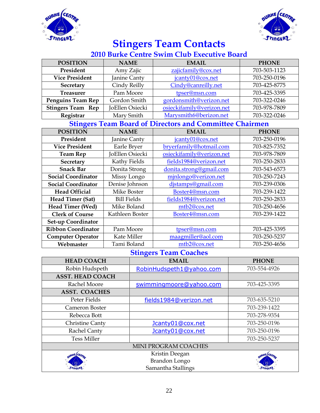



### **Stingers Team Contacts**

### **2010 Burke Centre Swim Club Executive Board**

| <b>POSITION</b>           | <b>NAME</b>        | <b>EMAIL</b>                                                   | <b>PHONE</b> |
|---------------------------|--------------------|----------------------------------------------------------------|--------------|
| President                 | Amy Zajic          | zajicfamily@cox.net                                            | 703-503-1123 |
| <b>Vice President</b>     | Janine Canty       | jcanty01@cox.net                                               | 703-250-0196 |
| Secretary                 | Cindy Reilly       | Cindy@canreilly.net                                            | 703-425-8775 |
| <b>Treasurer</b>          | Pam Moore          | tpser@msn.com                                                  | 703-425-3395 |
| <b>Penguins Team Rep</b>  | Gordon Smith       | gordonsmith@verizon.net                                        | 703-322-0246 |
| <b>Stingers Team Rep</b>  | JoEllen Osiecki    | osieckifamily@verizon.net                                      | 703-978-7809 |
| Registrar                 | Mary Smith         | Marysmith6@berizon.net                                         | 703-322-0246 |
|                           |                    | <b>Stingers Team Board of Directors and Committee Chairmen</b> |              |
| <b>POSITION</b>           | <b>NAME</b>        | <b>EMAIL</b>                                                   | <b>PHONE</b> |
| President                 | Janine Canty       | jcanty01@cox.net                                               | 703-250-0196 |
| <b>Vice President</b>     | Earle Bryer        | bryerfamily@hotmail.com                                        | 703-825-7352 |
| <b>Team Rep</b>           | JoEllen Osiecki    | osieckifamily@verizon.net                                      | 703-978-7809 |
| Secretary                 | Kathy Fields       | fields1984@verizon.net                                         | 703-250-2833 |
| <b>Snack Bar</b>          | Donita Strong      | donita.strong@gmail.com                                        | 703-543-6573 |
| <b>Social Coordinator</b> | Missy Longo        | mjnlongo@verizon.net                                           | 703-250-7243 |
| <b>Social Coordinator</b> | Denise Johnson     | djstamps@gmail.com                                             | 703-239-0306 |
| <b>Head Official</b>      | Mike Boster        | Boster4@msn.com                                                | 703-239-1422 |
| Head Timer (Sat)          | <b>Bill Fields</b> | fields1984@verizon.net                                         | 703-250-2833 |
| Head Timer (Wed)          | Mike Boland        | mtb2@cox.net                                                   | 703-250-4656 |
| <b>Clerk of Course</b>    | Kathleen Boster    | Boster4@msn.com                                                | 703-239-1422 |
| Set-up Coordinator        |                    |                                                                |              |
| <b>Ribbon Coordinator</b> | Pam Moore          | tpser@msn.com                                                  | 703-425-3395 |
| <b>Computer Operator</b>  | Kate Miller        | maagmiller@aol.com                                             | 703-250-5237 |
| Webmaster                 | Tami Boland        | mtb2@cox.net                                                   | 703-250-4656 |
|                           | $C_{\pm}$          | π.                                                             |              |

#### **Stingers Team Coaches**

| <b>HEAD COACH</b>       | <b>EMAIL</b>             | <b>PHONE</b>    |
|-------------------------|--------------------------|-----------------|
| Robin Hudspeth          | RobinHudspeth1@yahoo.com | 703-554-4926    |
| <b>ASST. HEAD COACH</b> |                          |                 |
| Rachel Moore            | swimmingmoore@yahoo.com  | 703-425-3395    |
| <b>ASST. COACHES</b>    |                          |                 |
| Peter Fields            | fields1984@verizon.net   | 703-635-5210    |
| Cameron Boster          |                          | 703-239-1422    |
| Rebecca Bott            |                          | 703-278-9354    |
| <b>Christine Canty</b>  | Jcanty01@cox.net         | 703-250-0196    |
| Rachel Canty            | Jcanty01@cox.net         | 703-250-0196    |
| <b>Tess Miller</b>      |                          | 703-250-5237    |
|                         | MINI PROGRAM COACHES     |                 |
|                         | Kristin Deegan           | <b>ANE CEOS</b> |
|                         | Brandon Longo            |                 |
|                         | Samantha Stallings       |                 |